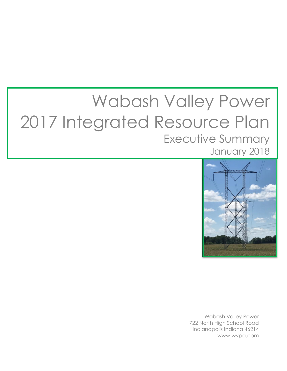# Wabash Valley Power 2017 Integrated Resource Plan Executive Summary January 2018



Wabash Valley Power 722 North High School Road Indianapolis Indiana 46214 www.wvpa.com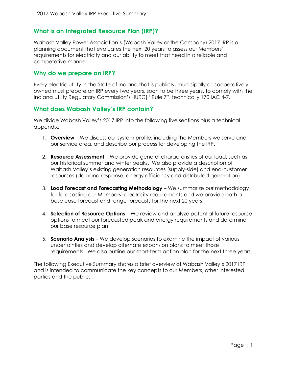# **What is an Integrated Resource Plan (IRP)?**

Wabash Valley Power Association's (Wabash Valley or the Company) 2017 IRP is a planning document that evaluates the next 20 years to assess our Members' requirements for electricity and our ability to meet that need in a reliable and competetive manner.

### **Why do we prepare an IRP?**

Every electric utility in the State of Indiana that is publicly, municipally or cooperatively owned must prepare an IRP every two years, soon to be three years, to comply with the Indiana Utility Regulatory Commission's (IURC) "Rule 7", technically 170 IAC 4-7.

## **What does Wabash Valley's IRP contain?**

We divide Wabash Valley's 2017 IRP into the following five sections plus a technical appendix:

- 1. **Overview** We discuss our system profile, including the Members we serve and our service area, and describe our process for developing the IRP.
- 2. **Resource Assessment** We provide general characteristics of our load, such as our historical summer and winter peaks. We also provide a description of Wabash Valley's existing generation resources (supply-side) and end-customer resources (demand response, energy efficiency and distributed generation).
- 3. **Load Forecast and Forecasting Methodology**  We summarize our methodology for forecasting our Members' electricity requirements and we provide both a base case forecast and range forecasts for the next 20 years.
- 4. **Selection of Resource Options** We review and analyze potential future resource options to meet our forecasted peak and energy requirements and determine our base resource plan.
- 5. **Scenario Analysis** We develop scenarios to examine the impact of various uncertainties and develop alternate expansion plans to meet those requirements. We also outline our short-term action plan for the next three years.

The following Executive Summary shares a brief overview of Wabash Valley's 2017 IRP and is intended to communicate the key concepts to our Members, other interested parties and the public.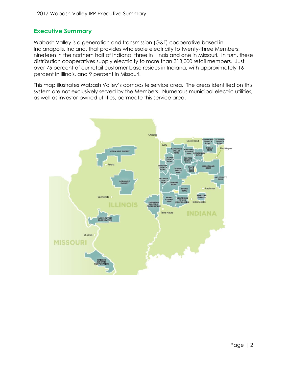# **Executive Summary**

Wabash Valley is a generation and transmission (G&T) cooperative based in Indianapolis, Indiana, that provides wholesale electricity to twenty-three Members: nineteen in the northern half of Indiana, three in Illinois and one in Missouri. In turn, these distribution cooperatives supply electricity to more than 313,000 retail members. Just over 75 percent of our retail customer base resides in Indiana, with approximately 16 percent in Illinois, and 9 percent in Missouri.

This map illustrates Wabash Valley's composite service area. The areas identified on this system are not exclusively served by the Members. Numerous municipal electric utilities, as well as investor-owned utilities, permeate this service area.

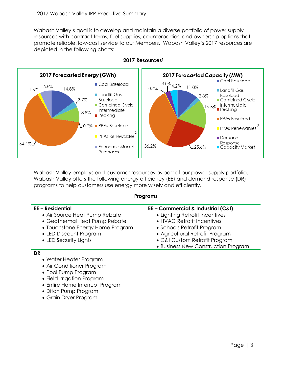Wabash Valley's goal is to develop and maintain a diverse portfolio of power supply resources with contract terms, fuel supplies, counterparties, and ownership options that promote reliable, low-cost service to our Members. Wabash Valley's 2017 resources are depicted in the following charts:



**2017 Resources<sup>1</sup>**

Wabash Valley employs end-customer resources as part of our power supply portfolio. Wabash Valley offers the following energy efficiency (EE) and demand response (DR) programs to help customers use energy more wisely and efficiently.

#### **Programs**

| <b>EE-Residential</b><br>• Air Source Heat Pump Rebate<br>• Geothermal Heat Pump Rebate<br>• Touchstone Energy Home Program<br>• LED Discount Program<br>• LED Security Lights | EE - Commercial & Industrial (C&I)<br>• Lighting Retrofit Incentives<br>• HVAC Retrofit Incentives<br>• Schools Retrofit Program<br>• Agricultural Retrofit Program<br>• C&I Custom Retrofit Program<br>• Business New Construction Program |
|--------------------------------------------------------------------------------------------------------------------------------------------------------------------------------|---------------------------------------------------------------------------------------------------------------------------------------------------------------------------------------------------------------------------------------------|
| DR                                                                                                                                                                             |                                                                                                                                                                                                                                             |
| • Water Heater Program<br>• Air Conditioner Program                                                                                                                            |                                                                                                                                                                                                                                             |

- Pool Pump Program
- Field Irrigation Program
- Entire Home Interrupt Program
- Ditch Pump Program
- Grain Dryer Program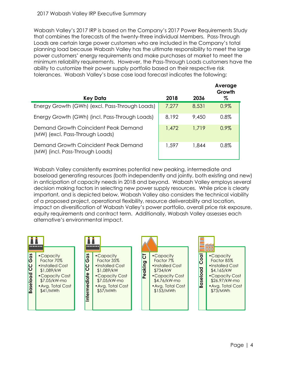Wabash Valley's 2017 IRP is based on the Company's 2017 Power Requirements Study that combines the forecasts of the twenty-three individual Members. Pass-Through Loads are certain large power customers who are included in the Company's total planning load because Wabash Valley has the ultimate responsibility to meet the large power customers' energy requirements and make purchases at market to meet the minimum reliability requirements. However, the Pass-Through Loads customers have the ability to customize their power supply portfolio based on their respective risk tolerances. Wabash Valley's base case load forecast indicates the following:

|                                                                         |       |       | Average<br>Growth |
|-------------------------------------------------------------------------|-------|-------|-------------------|
| Key Data                                                                | 2018  | 2036  | %                 |
| Energy Growth (GWh) (excl. Pass-Through Loads)                          | 7.277 | 8.531 | 0.9%              |
| Energy Growth (GWh) (incl. Pass-Through Loads)                          | 8.192 | 9,450 | $0.8\%$           |
| Demand Growth Coincident Peak Demand<br>(MW) (excl. Pass-Through Loads) | 1,472 | 1.719 | 0.9%              |
| Demand Growth Coincident Peak Demand<br>(MW) (incl. Pass-Through Loads) | 1,597 | 1.844 | $0.8\%$           |

Wabash Valley consistently examines potential new peaking, intermediate and baseload generating resources (both independently and jointly, both existing and new) in anticipation of capacity needs in 2018 and beyond. Wabash Valley employs several decision making factors in selecting new power supply resources. While price is clearly important, and is depicted below, Wabash Valley also considers the technical viability of a proposed project, operational flexibility, resource deliverability and location, impact on diversification of Wabash Valley's power portfolio, overall price risk exposure, equity requirements and contract term. Additionally, Wabash Valley assesses each alternative's environmental impact.

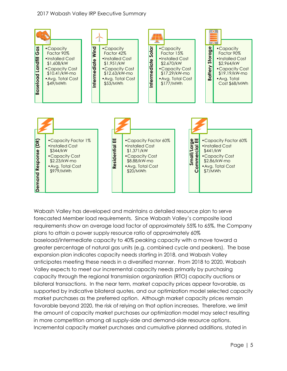

Wabash Valley has developed and maintains a detailed resource plan to serve forecasted Member load requirements. Since Wabash Valley's composite load requirements show an average load factor of approximately 55% to 65%, the Company plans to attain a power supply resource ratio of approximately 60% baseload/intermediate capacity to 40% peaking capacity with a move toward a greater percentage of natural gas units (e.g. combined cycle and peakers). The base expansion plan indicates capacity needs starting in 2018, and Wabash Valley anticipates meeting these needs in a diversified manner. From 2018 to 2020, Wabash Valley expects to meet our incremental capacity needs primarily by purchasing capacity through the regional transmission organization (RTO) capacity auctions or bilateral transactions. In the near term, market capacity prices appear favorable, as supported by indicative bilateral quotes, and our optimization model selected capacity market purchases as the preferred option. Although market capacity prices remain favorable beyond 2020, the risk of relying on that option increases. Therefore, we limit the amount of capacity market purchases our optimization model may select resulting in more competition among all supply-side and demand-side resource options.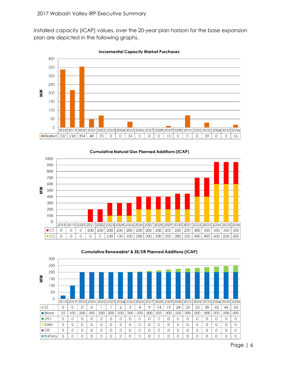installed capacity (ICAP) values, over the 20-year plan horizon for the base expansion plan are depicted in the following graphs.



**Incremental Capacity Market Purchases** 





#### Cumulative Renewable<sup>2</sup> & EE/DR Planned Additions (ICAP)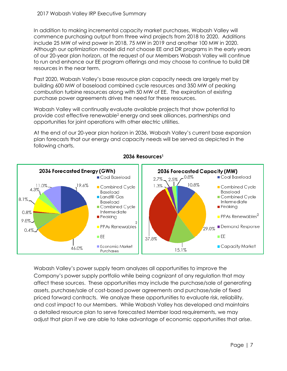In addition to making incremental capacity market purchases, Wabash Valley will commence purchasing output from three wind projects from 2018 to 2020. Additions include 25 MW of wind power in 2018, 75 MW in 2019 and another 100 MW in 2020. Although our optimization model did not choose EE and DR programs in the early years of our 20-year plan horizon, at the request of our Members Wabash Valley will continue to run and enhance our EE program offerings and may choose to continue to build DR resources in the near term.

Past 2020, Wabash Valley's base resource plan capacity needs are largely met by building 600 MW of baseload combined cycle resources and 350 MW of peaking combustion turbine resources along with 50 MW of EE. The expiration of existing purchase power agreements drives the need for these resources.

Wabash Valley will continually evaluate available projects that show potential to provide cost effective renewable<sup>2</sup> energy and seek alliances, partnerships and opportunities for joint operations with other electric utilities.

At the end of our 20-year plan horizon in 2036, Wabash Valley's current base expansion plan forecasts that our energy and capacity needs will be served as depicted in the following charts.



**2036 Resources<sup>1</sup>**

Wabash Valley's power supply team analyzes all opportunities to improve the Company's power supply portfolio while being cognizant of any regulation that may affect these sources. These opportunities may include the purchase/sale of generating assets, purchase/sale of cost-based power agreements and purchase/sale of fixed priced forward contracts. We analyze these opportunities to evaluate risk, reliability, and cost impact to our Members. While Wabash Valley has developed and maintains a detailed resource plan to serve forecasted Member load requirements, we may adjust that plan if we are able to take advantage of economic opportunities that arise.